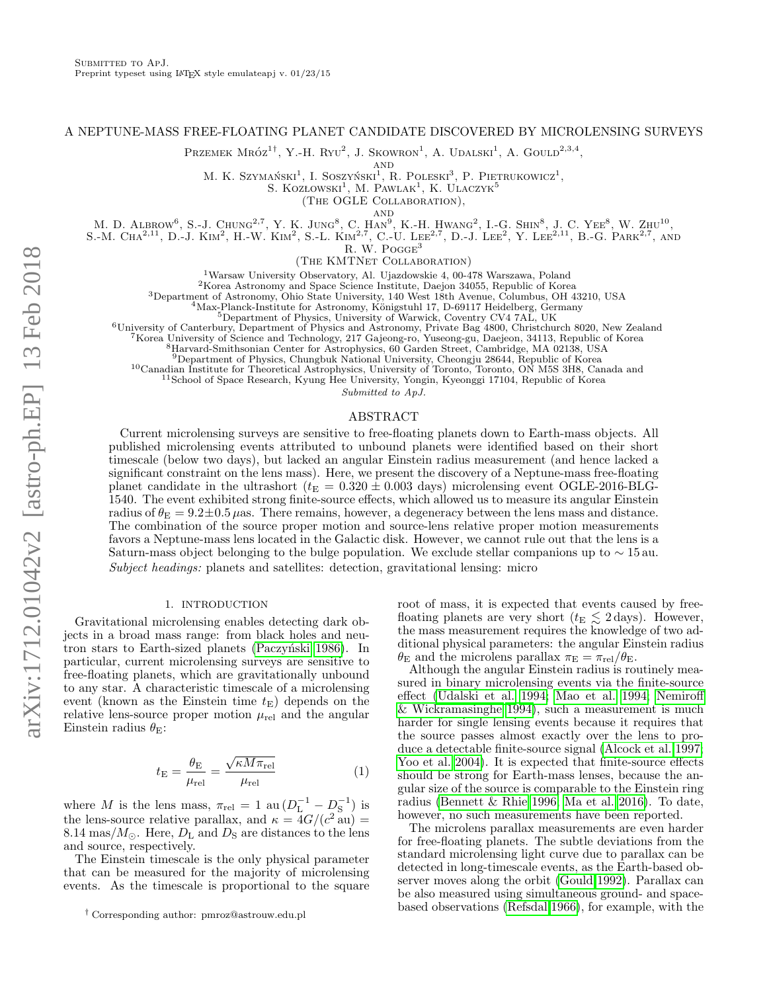### A NEPTUNE-MASS FREE-FLOATING PLANET CANDIDATE DISCOVERED BY MICROLENSING SURVEYS

PRZEMEK  $MR\acute{o}z^{1\dagger}$ , Y.-H.  $R\text{y}v^2$ , J. Skowron<sup>1</sup>, A. Udalski<sup>1</sup>, A. Gould<sup>2,3,4</sup>,

AND

M. K. Szymański<sup>1</sup>, I. Soszyński<sup>1</sup>, R. Poleski<sup>3</sup>, P. Pietrukowicz<sup>1</sup>,

S. KOZŁOWSKI<sup>1</sup>, M. PAWLAK<sup>1</sup>, K. ULACZYK<sup>5</sup>

(The OGLE Collaboration),

and

M. D. ALBROW<sup>6</sup>, S.-J. CHUNG<sup>2,7</sup>, Y. K. JUNG<sup>8</sup>, C. HAN<sup>9</sup>, K.-H. HWANG<sup>2</sup>, L.-G. SHIN<sup>8</sup>, J. C. YEE<sup>8</sup>, W. ZHU<sup>10</sup>,

S.-M. CHA<sup>2,11</sup>, D.-J. KIM<sup>2</sup>, H.-W. KIM<sup>2</sup>, S.-L. KIM<sup>2,7</sup>, C.-U. LEE<sup>2,7</sup>, D.-J. LEE<sup>2</sup>, Y. LEE<sup>2,11</sup>, B.-G. PARK<sup>2,7</sup>, AND

R. W. POGGE<sup>3</sup>

(The KMTNet Collaboration)

<sup>1</sup>Warsaw University Observatory, Al. Ujazdowskie 4, 00-478 Warszawa, Poland

<sup>2</sup>Korea Astronomy and Space Science Institute, Daejon 34055, Republic of Korea

<sup>3</sup>Department of Astronomy, Ohio State University, 140 West 18th Avenue, Columbus, OH 43210, USA

 $^{4}$ Max-Planck-Institute for Astronomy, Königstuhl 17, D-69117 Heidelberg, Germany

<sup>5</sup>Department of Physics, University of Warwick, Coventry CV4 7AL, UK

<sup>6</sup>University of Canterbury, Department of Physics and Astronomy, Private Bag 4800, Christchurch 8020, New Zealand

<sup>7</sup>Korea University of Science and Technology, 217 Gajeong-ro, Yuseong-gu, Daejeon, 34113, Republic of Korea

<sup>8</sup>Harvard-Smithsonian Center for Astrophysics, 60 Garden Street, Cambridge, MA 02138, USA

<sup>9</sup>Department of Physics, Chungbuk National University, Cheongju 28644, Republic of Korea

<sup>10</sup>Canadian Institute for Theoretical Astrophysics, University of Toronto, Toronto, ON M5S 3H8, Canada and

<sup>11</sup>School of Space Research, Kyung Hee University, Yongin, Kyeonggi 17104, Republic of Korea

Submitted to ApJ.

# ABSTRACT

Current microlensing surveys are sensitive to free-floating planets down to Earth-mass objects. All published microlensing events attributed to unbound planets were identified based on their short timescale (below two days), but lacked an angular Einstein radius measurement (and hence lacked a significant constraint on the lens mass). Here, we present the discovery of a Neptune-mass free-floating planet candidate in the ultrashort ( $t_E = 0.320 \pm 0.003$  days) microlensing event OGLE-2016-BLG-1540. The event exhibited strong finite-source effects, which allowed us to measure its angular Einstein radius of  $\theta_{\rm E} = 9.2 \pm 0.5 \,\mu$ as. There remains, however, a degeneracy between the lens mass and distance. The combination of the source proper motion and source-lens relative proper motion measurements favors a Neptune-mass lens located in the Galactic disk. However, we cannot rule out that the lens is a Saturn-mass object belonging to the bulge population. We exclude stellar companions up to  $\sim$  15 au. Subject headings: planets and satellites: detection, gravitational lensing: micro

### 1. INTRODUCTION

Gravitational microlensing enables detecting dark objects in a broad mass range: from black holes and neutron stars to Earth-sized planets (Paczyński 1986). In particular, current microlensing surveys are sensitive to free-floating planets, which are gravitationally unbound to any star. A characteristic timescale of a microlensing event (known as the Einstein time  $t<sub>E</sub>$ ) depends on the relative lens-source proper motion  $\mu_{\rm rel}$  and the angular Einstein radius  $\theta_{\rm E}$ :

$$
t_{\rm E} = \frac{\theta_{\rm E}}{\mu_{\rm rel}} = \frac{\sqrt{\kappa M \pi_{\rm rel}}}{\mu_{\rm rel}} \tag{1}
$$

where M is the lens mass,  $\pi_{rel} = 1$  au  $(D_L^{-1} - D_S^{-1})$  is the lens-source relative parallax, and  $\kappa = \frac{4G}{c^2}$  au) = 8.14 mas/ $M_{\odot}$ . Here,  $D_{\rm L}$  and  $D_{\rm S}$  are distances to the lens and source, respectively.

The Einstein timescale is the only physical parameter that can be measured for the majority of microlensing events. As the timescale is proportional to the square root of mass, it is expected that events caused by freefloating planets are very short ( $t_{\rm E} \lesssim 2 \,\text{days}$ ). However, the mass measurement requires the knowledge of two additional physical parameters: the angular Einstein radius  $\theta_{\rm E}$  and the microlens parallax  $\pi_{\rm E} = \pi_{\rm rel}/\theta_{\rm E}$ .

Although the angular Einstein radius is routinely measured in binary microlensing events via the finite-source effect [\(Udalski et al. 1994;](#page-5-1) [Mao et al. 1994;](#page-5-2) [Nemiroff](#page-5-3) [& Wickramasinghe 1994\)](#page-5-3), such a measurement is much harder for single lensing events because it requires that the source passes almost exactly over the lens to produce a detectable finite-source signal [\(Alcock et al. 1997;](#page-5-4) [Yoo et al. 2004\)](#page-5-5). It is expected that finite-source effects should be strong for Earth-mass lenses, because the angular size of the source is comparable to the Einstein ring radius [\(Bennett & Rhie 1996;](#page-5-6) [Ma et al. 2016\)](#page-5-7). To date, however, no such measurements have been reported.

<span id="page-0-0"></span>The microlens parallax measurements are even harder for free-floating planets. The subtle deviations from the standard microlensing light curve due to parallax can be detected in long-timescale events, as the Earth-based observer moves along the orbit [\(Gould 1992\)](#page-5-8). Parallax can be also measured using simultaneous ground- and spacebased observations [\(Refsdal 1966\)](#page-5-9), for example, with the

<sup>†</sup> Corresponding author: pmroz@astrouw.edu.pl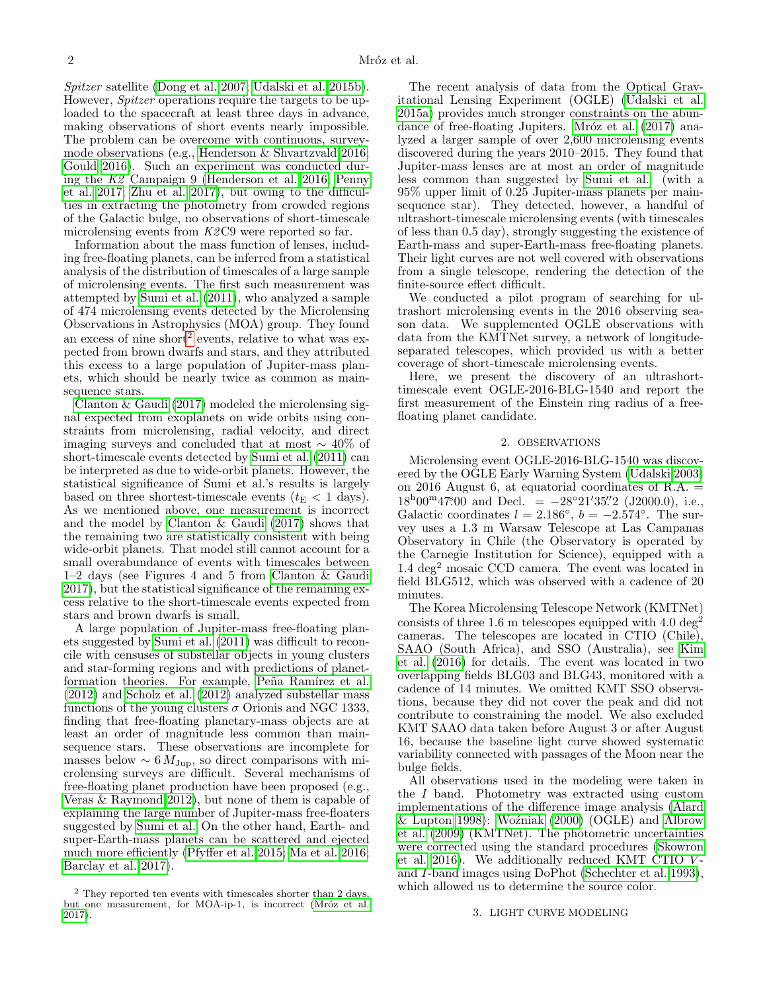Spitzer satellite [\(Dong et al. 2007;](#page-5-10) [Udalski et al. 2015b\)](#page-5-11). However, *Spitzer* operations require the targets to be uploaded to the spacecraft at least three days in advance, making observations of short events nearly impossible. The problem can be overcome with continuous, surveymode observations (e.g., [Henderson & Shvartzvald 2016;](#page-5-12) [Gould 2016\)](#page-5-13). Such an experiment was conducted during the K2 Campaign 9 [\(Henderson et al. 2016;](#page-5-14) [Penny](#page-5-15) [et al. 2017;](#page-5-15) [Zhu et al. 2017\)](#page-5-16), but owing to the difficulties in extracting the photometry from crowded regions of the Galactic bulge, no observations of short-timescale microlensing events from  $K2C9$  were reported so far.

Information about the mass function of lenses, including free-floating planets, can be inferred from a statistical analysis of the distribution of timescales of a large sample of microlensing events. The first such measurement was attempted by [Sumi et al. \(2011\)](#page-5-17), who analyzed a sample of 474 microlensing events detected by the Microlensing Observations in Astrophysics (MOA) group. They found an excess of nine short<sup>[2](#page-1-0)</sup> events, relative to what was expected from brown dwarfs and stars, and they attributed this excess to a large population of Jupiter-mass planets, which should be nearly twice as common as mainsequence stars.

[Clanton & Gaudi \(2017\)](#page-5-18) modeled the microlensing signal expected from exoplanets on wide orbits using constraints from microlensing, radial velocity, and direct imaging surveys and concluded that at most ∼ 40% of short-timescale events detected by [Sumi et al. \(2011\)](#page-5-17) can be interpreted as due to wide-orbit planets. However, the statistical significance of Sumi et al.'s results is largely based on three shortest-timescale events ( $t_{\rm E}$  < 1 days). As we mentioned above, one measurement is incorrect and the model by [Clanton & Gaudi \(2017\)](#page-5-18) shows that the remaining two are statistically consistent with being wide-orbit planets. That model still cannot account for a small overabundance of events with timescales between 1–2 days (see Figures 4 and 5 from [Clanton & Gaudi](#page-5-18) [2017\)](#page-5-18), but the statistical significance of the remaining excess relative to the short-timescale events expected from stars and brown dwarfs is small.

A large population of Jupiter-mass free-floating planets suggested by [Sumi et al. \(2011\)](#page-5-17) was difficult to reconcile with censuses of substellar objects in young clusters and star-forming regions and with predictions of planetformation theories. For example, Peña Ramírez et al. [\(2012\)](#page-5-19) and [Scholz et al. \(2012\)](#page-5-20) analyzed substellar mass functions of the young clusters  $\sigma$  Orionis and NGC 1333, finding that free-floating planetary-mass objects are at least an order of magnitude less common than mainsequence stars. These observations are incomplete for masses below  $\sim 6 M_{\text{Jup}}$ , so direct comparisons with mi-crolensing surveys are difficult. Several mechanisms of free-floating planet production have been proposed (e.g., [Veras & Raymond 2012\)](#page-5-21), but none of them is capable of explaining the large number of Jupiter-mass free-floaters suggested by [Sumi et al.](#page-5-17) On the other hand, Earth- and super-Earth-mass planets can be scattered and ejected much more efficiently [\(Pfyffer et al. 2015;](#page-5-22) [Ma et al. 2016;](#page-5-7) [Barclay et al. 2017\)](#page-5-23).

The recent analysis of data from the Optical Gravitational Lensing Experiment (OGLE) [\(Udalski et al.](#page-5-25) [2015a\)](#page-5-25) provides much stronger constraints on the abundance of free-floating Jupiters. Mróz et al. (2017) analyzed a larger sample of over 2,600 microlensing events discovered during the years 2010–2015. They found that Jupiter-mass lenses are at most an order of magnitude less common than suggested by [Sumi et al.](#page-5-17) (with a 95% upper limit of 0.25 Jupiter-mass planets per mainsequence star). They detected, however, a handful of ultrashort-timescale microlensing events (with timescales of less than 0.5 day), strongly suggesting the existence of Earth-mass and super-Earth-mass free-floating planets. Their light curves are not well covered with observations from a single telescope, rendering the detection of the finite-source effect difficult.

We conducted a pilot program of searching for ultrashort microlensing events in the 2016 observing season data. We supplemented OGLE observations with data from the KMTNet survey, a network of longitudeseparated telescopes, which provided us with a better coverage of short-timescale microlensing events.

Here, we present the discovery of an ultrashorttimescale event OGLE-2016-BLG-1540 and report the first measurement of the Einstein ring radius of a freefloating planet candidate.

### 2. OBSERVATIONS

Microlensing event OGLE-2016-BLG-1540 was discovered by the OGLE Early Warning System [\(Udalski 2003\)](#page-5-26) on 2016 August 6, at equatorial coordinates of R.A.  $=$  $18^{\text{h}}00^{\text{m}}47^{\text{s}}00$  and Decl. =  $-28^{\circ}21'35''2$  (J2000.0), i.e., Galactic coordinates  $l = 2.186^\circ$ ,  $b = -2.574^\circ$ . The survey uses a 1.3 m Warsaw Telescope at Las Campanas Observatory in Chile (the Observatory is operated by the Carnegie Institution for Science), equipped with a 1.4 deg<sup>2</sup> mosaic CCD camera. The event was located in field BLG512, which was observed with a cadence of 20 minutes.

The Korea Microlensing Telescope Network (KMTNet) consists of three 1.6 m telescopes equipped with  $4.0 \text{ deg}^2$ cameras. The telescopes are located in CTIO (Chile), SAAO (South Africa), and SSO (Australia), see [Kim](#page-5-27) [et al. \(2016\)](#page-5-27) for details. The event was located in two overlapping fields BLG03 and BLG43, monitored with a cadence of 14 minutes. We omitted KMT SSO observations, because they did not cover the peak and did not contribute to constraining the model. We also excluded KMT SAAO data taken before August 3 or after August 16, because the baseline light curve showed systematic variability connected with passages of the Moon near the bulge fields.

All observations used in the modeling were taken in the I band. Photometry was extracted using custom implementations of the difference image analysis [\(Alard](#page-5-28)  $&$  Lupton 1998): Woźniak (2000) (OGLE) and [Albrow](#page-5-30) [et al. \(2009\)](#page-5-30) (KMTNet). The photometric uncertainties were corrected using the standard procedures [\(Skowron](#page-5-31) [et al. 2016\)](#page-5-31). We additionally reduced KMT CTIO  $V$ and I-band images using DoPhot [\(Schechter et al. 1993\)](#page-5-32), which allowed us to determine the source color.

### 3. LIGHT CURVE MODELING

<span id="page-1-0"></span> $2$  They reported ten events with timescales shorter than 2 days, but one measurement, for MOA-ip-1, is incorrect (Mróz et al. [2017\)](#page-5-24).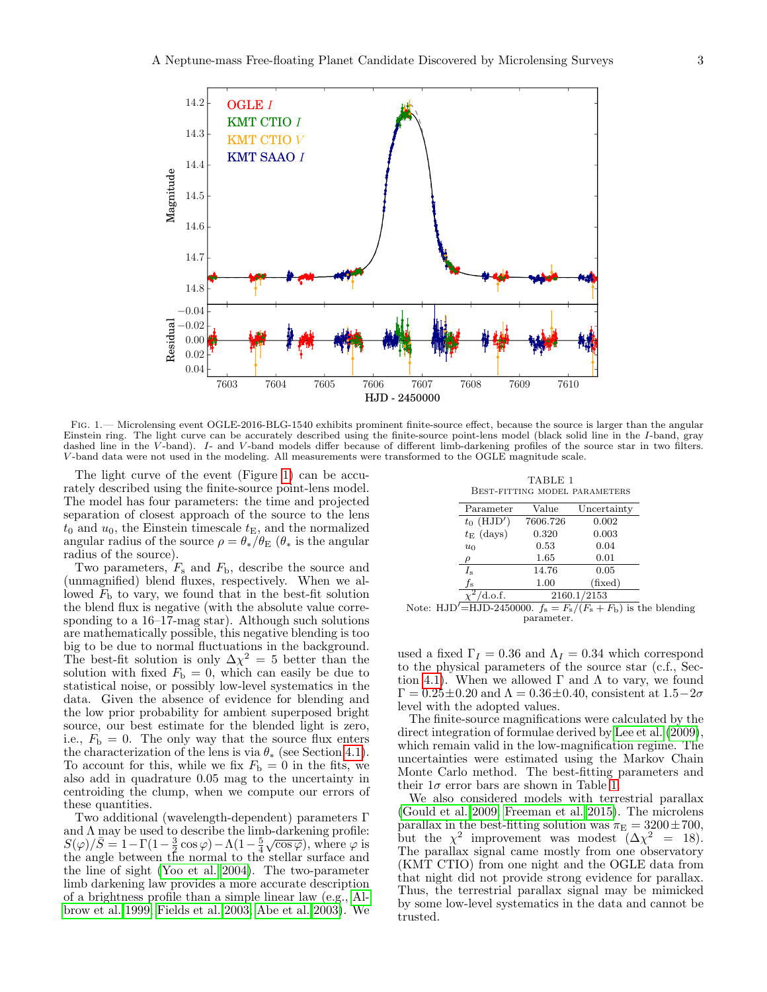

<span id="page-2-0"></span>Fig. 1.— Microlensing event OGLE-2016-BLG-1540 exhibits prominent finite-source effect, because the source is larger than the angular Einstein ring. The light curve can be accurately described using the finite-source point-lens model (black solid line in the I-band, gray dashed line in the V-band). I- and V-band models differ because of different limb-darkening profiles of the source star in two filters. V -band data were not used in the modeling. All measurements were transformed to the OGLE magnitude scale.

The light curve of the event (Figure [1\)](#page-2-0) can be accurately described using the finite-source point-lens model. The model has four parameters: the time and projected separation of closest approach of the source to the lens  $t_0$  and  $u_0$ , the Einstein timescale  $t<sub>E</sub>$ , and the normalized angular radius of the source  $\rho = \theta_*/\theta_{\rm E}$  ( $\theta_*$  is the angular radius of the source).

Two parameters,  $F_s$  and  $F_b$ , describe the source and (unmagnified) blend fluxes, respectively. When we allowed  $F<sub>b</sub>$  to vary, we found that in the best-fit solution the blend flux is negative (with the absolute value corresponding to a 16–17-mag star). Although such solutions are mathematically possible, this negative blending is too big to be due to normal fluctuations in the background. The best-fit solution is only  $\Delta \chi^2 = 5$  better than the solution with fixed  $F<sub>b</sub> = 0$ , which can easily be due to statistical noise, or possibly low-level systematics in the data. Given the absence of evidence for blending and the low prior probability for ambient superposed bright source, our best estimate for the blended light is zero, i.e.,  $F_{\rm b} = 0$ . The only way that the source flux enters the characterization of the lens is via  $\theta_*$  (see Section [4.1\)](#page-3-0). To account for this, while we fix  $F<sub>b</sub> = 0$  in the fits, we also add in quadrature 0.05 mag to the uncertainty in centroiding the clump, when we compute our errors of these quantities.

Two additional (wavelength-dependent) parameters Γ and  $\Lambda$  may be used to describe the limb-darkening profile:  $S(\varphi)/\overline{S} = 1 - \Gamma(1 - \frac{3}{2}\cos\varphi) - \Lambda(1 - \frac{5}{4}\sqrt{\cos\varphi})$ , where  $\varphi$  is the angle between the normal to the stellar surface and the line of sight [\(Yoo et al. 2004\)](#page-5-5). The two-parameter limb darkening law provides a more accurate description of a brightness profile than a simple linear law (e.g., [Al](#page-5-33)[brow et al. 1999;](#page-5-33) [Fields et al. 2003;](#page-5-34) [Abe et al. 2003\)](#page-5-35). We

TABLE 1 Best-fitting model parameters

<span id="page-2-1"></span>

| Parameter          | Value       | Uncertainty |  |  |  |  |
|--------------------|-------------|-------------|--|--|--|--|
| $t_0$ (HJD')       | 7606.726    | 0.002       |  |  |  |  |
| $t_{\rm E}$ (days) | 0.320       | 0.003       |  |  |  |  |
| $u_0$              | 0.53        | 0.04        |  |  |  |  |
|                    | 1.65        | 0.01        |  |  |  |  |
| $I_{\rm s}$        | 14.76       | 0.05        |  |  |  |  |
| fs                 | 1.00        | (fixed)     |  |  |  |  |
| d.o.f.             | 2160.1/2153 |             |  |  |  |  |

|            |  | Note: HJD'=HJD-2450000. $f_s = F_s/(F_s + F_b)$ is the blending |  |  |  |  |  |  |  |  |  |
|------------|--|-----------------------------------------------------------------|--|--|--|--|--|--|--|--|--|
| parameter. |  |                                                                 |  |  |  |  |  |  |  |  |  |

used a fixed  $\Gamma_I = 0.36$  and  $\Lambda_I = 0.34$  which correspond to the physical parameters of the source star (c.f., Sec-tion [4.1\)](#page-3-0). When we allowed  $\Gamma$  and  $\Lambda$  to vary, we found  $\Gamma = 0.25 \pm 0.20$  and  $\Lambda = 0.36 \pm 0.40$ , consistent at  $1.5-2\sigma$ level with the adopted values.

The finite-source magnifications were calculated by the direct integration of formulae derived by [Lee et al. \(2009\)](#page-5-36), which remain valid in the low-magnification regime. The uncertainties were estimated using the Markov Chain Monte Carlo method. The best-fitting parameters and their  $1\sigma$  error bars are shown in Table [1.](#page-2-1)

We also considered models with terrestrial parallax [\(Gould et al. 2009;](#page-5-37) [Freeman et al. 2015\)](#page-5-38). The microlens parallax in the best-fitting solution was  $\pi_{\text{E}} = 3200 \pm 700$ , but the  $\chi^2$  improvement was modest  $(\Delta \chi^2 = 18)$ . The parallax signal came mostly from one observatory (KMT CTIO) from one night and the OGLE data from that night did not provide strong evidence for parallax. Thus, the terrestrial parallax signal may be mimicked by some low-level systematics in the data and cannot be trusted.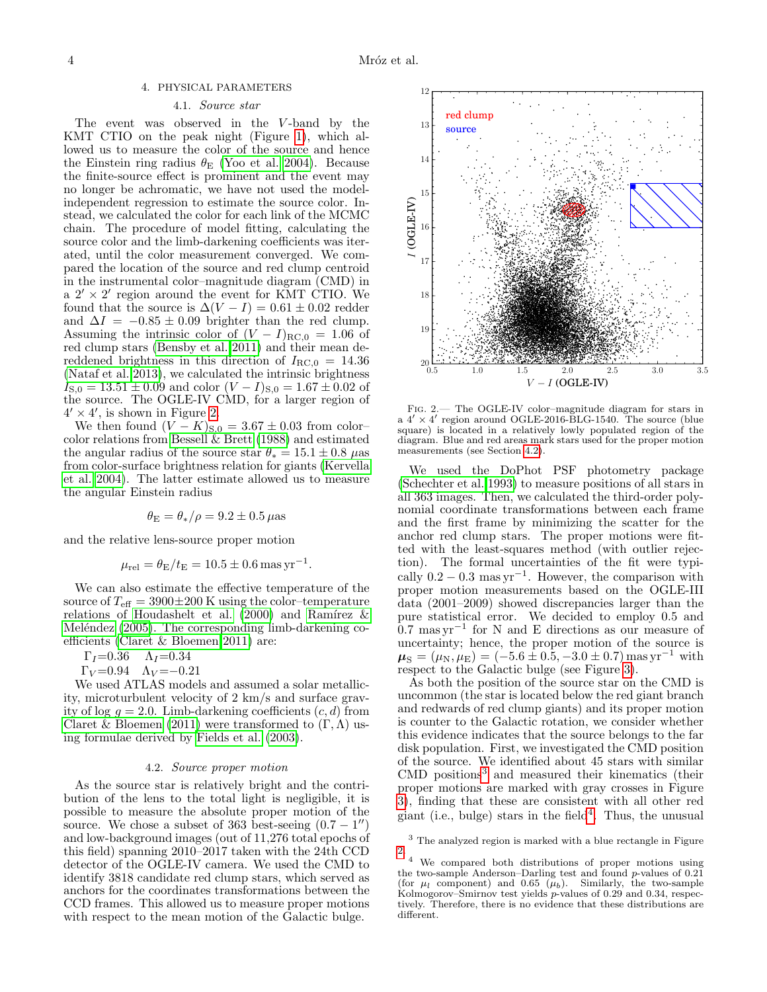## 4. PHYSICAL PARAMETERS

# 4.1. Source star

<span id="page-3-0"></span>The event was observed in the V-band by the KMT CTIO on the peak night (Figure [1\)](#page-2-0), which allowed us to measure the color of the source and hence the Einstein ring radius  $\theta_{\rm E}$  [\(Yoo et al. 2004\)](#page-5-5). Because the finite-source effect is prominent and the event may no longer be achromatic, we have not used the modelindependent regression to estimate the source color. Instead, we calculated the color for each link of the MCMC chain. The procedure of model fitting, calculating the source color and the limb-darkening coefficients was iterated, until the color measurement converged. We compared the location of the source and red clump centroid in the instrumental color–magnitude diagram (CMD) in  $a \frac{2'}{8} \times \frac{2'}{8}$  region around the event for KMT CTIO. We found that the source is  $\Delta(V-I) = 0.61 \pm 0.02$  redder and  $\Delta I = -0.85 \pm 0.09$  brighter than the red clump. Assuming the intrinsic color of  $(V - I)_{RC,0} = 1.06$  of red clump stars [\(Bensby et al. 2011\)](#page-5-39) and their mean dereddened brightness in this direction of  $I_{\text{RC},0} = 14.36$ [\(Nataf et al. 2013\)](#page-5-40), we calculated the intrinsic brightness  $I_{\rm S,0} = 13.51 \pm 0.09$  and color  $(V - I)_{\rm S,0} = 1.67 \pm 0.02$  of the source. The OGLE-IV CMD, for a larger region of  $4' \times 4'$ , is shown in Figure [2.](#page-3-1)

We then found  $(V - K)_{S,0} = 3.67 \pm 0.03$  from color– color relations from Bessell  $\&$  Brett (1988) and estimated the angular radius of the source star  $\theta_* = 15.1 \pm 0.8$   $\mu$ as from color-surface brightness relation for giants [\(Kervella](#page-5-42) [et al. 2004\)](#page-5-42). The latter estimate allowed us to measure the angular Einstein radius

$$
\theta_{\rm E} = \theta_*/\rho = 9.2 \pm 0.5 \,\mu{\rm as}
$$

and the relative lens-source proper motion

$$
\mu_{\rm rel} = \theta_{\rm E}/t_{\rm E} = 10.5 \pm 0.6 \,\text{mas}\,\text{yr}^{-1}.
$$

We can also estimate the effective temperature of the source of  $T_{\text{eff}} = 3900 \pm 200$  K using the color-temperature relations of [Houdashelt et al. \(2000\)](#page-5-43) and Ramírez  $\&$ Meléndez  $(2005)$ . The corresponding limb-darkening coefficients [\(Claret & Bloemen 2011\)](#page-5-45) are:

$$
\Gamma_I=0.36 \quad \Lambda_I=0.34
$$

 $\Gamma_V = 0.94 \quad \Lambda_V = -0.21$ 

We used ATLAS models and assumed a solar metallicity, microturbulent velocity of 2 km/s and surface gravity of log  $q = 2.0$ . Limb-darkening coefficients  $(c, d)$  from [Claret & Bloemen \(2011\)](#page-5-45) were transformed to  $(\Gamma, \Lambda)$  using formulae derived by [Fields et al. \(2003\)](#page-5-34).

### 4.2. Source proper motion

<span id="page-3-2"></span>As the source star is relatively bright and the contribution of the lens to the total light is negligible, it is possible to measure the absolute proper motion of the source. We chose a subset of 363 best-seeing  $(0.7 - 1'')$ and low-background images (out of 11,276 total epochs of this field) spanning 2010–2017 taken with the 24th CCD detector of the OGLE-IV camera. We used the CMD to identify 3818 candidate red clump stars, which served as anchors for the coordinates transformations between the CCD frames. This allowed us to measure proper motions with respect to the mean motion of the Galactic bulge.



<span id="page-3-1"></span>Fig. 2.— The OGLE-IV color–magnitude diagram for stars in a  $4' \times 4'$  region around OGLE-2016-BLG-1540. The source (blue square) is located in a relatively lowly populated region of the diagram. Blue and red areas mark stars used for the proper motion measurements (see Section [4.2\)](#page-3-2).

We used the DoPhot PSF photometry package [\(Schechter et al. 1993\)](#page-5-32) to measure positions of all stars in all 363 images. Then, we calculated the third-order polynomial coordinate transformations between each frame and the first frame by minimizing the scatter for the anchor red clump stars. The proper motions were fitted with the least-squares method (with outlier rejection). The formal uncertainties of the fit were typically  $0.2 - 0.3$  mas yr<sup>-1</sup>. However, the comparison with proper motion measurements based on the OGLE-III data (2001–2009) showed discrepancies larger than the pure statistical error. We decided to employ 0.5 and 0.7 mas yr<sup>−</sup><sup>1</sup> for N and E directions as our measure of uncertainty; hence, the proper motion of the source is  $\mu_{\rm S} = (\mu_{\rm N}, \mu_{\rm E}) = (-5.6 \pm 0.5, -3.0 \pm 0.7)$  mas yr<sup>-1</sup> with respect to the Galactic bulge (see Figure [3\)](#page-4-0).

As both the position of the source star on the CMD is uncommon (the star is located below the red giant branch and redwards of red clump giants) and its proper motion is counter to the Galactic rotation, we consider whether this evidence indicates that the source belongs to the far disk population. First, we investigated the CMD position of the source. We identified about 45 stars with similar CMD positions<sup>[3](#page-3-3)</sup> and measured their kinematics (their proper motions are marked with gray crosses in Figure [3\)](#page-4-0), finding that these are consistent with all other red giant (i.e., bulge) stars in the field<sup>[4](#page-3-4)</sup>. Thus, the unusual

<span id="page-3-3"></span><sup>3</sup> The analyzed region is marked with a blue rectangle in Figure [2.](#page-3-1)

<span id="page-3-4"></span><sup>4</sup> We compared both distributions of proper motions using the two-sample Anderson–Darling test and found  $p$ -values of 0.21 (for  $\mu_l$  component) and 0.65  $(\mu_b)$ . Similarly, the two-sample Kolmogorov–Smirnov test yields  $p$ -values of 0.29 and 0.34, respectively. Therefore, there is no evidence that these distributions are different.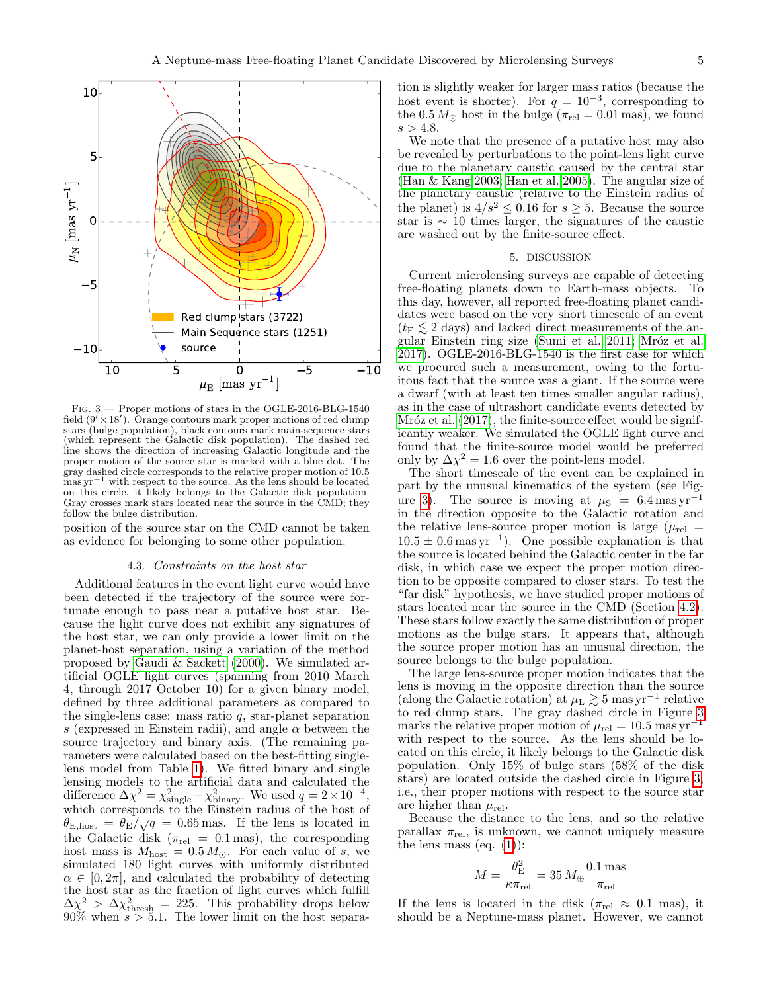

<span id="page-4-0"></span>Fig. 3.— Proper motions of stars in the OGLE-2016-BLG-1540 field  $(9' \times 18')$ . Orange contours mark proper motions of red clump stars (bulge population), black contours mark main-sequence stars (which represent the Galactic disk population). The dashed red line shows the direction of increasing Galactic longitude and the proper motion of the source star is marked with a blue dot. The gray dashed circle corresponds to the relative proper motion of 10.5 mas yr−<sup>1</sup> with respect to the source. As the lens should be located on this circle, it likely belongs to the Galactic disk population. Gray crosses mark stars located near the source in the CMD; they follow the bulge distribution.

position of the source star on the CMD cannot be taken as evidence for belonging to some other population.

# 4.3. Constraints on the host star

Additional features in the event light curve would have been detected if the trajectory of the source were fortunate enough to pass near a putative host star. Because the light curve does not exhibit any signatures of the host star, we can only provide a lower limit on the planet-host separation, using a variation of the method proposed by [Gaudi & Sackett \(2000\)](#page-5-46). We simulated artificial OGLE light curves (spanning from 2010 March 4, through 2017 October 10) for a given binary model, defined by three additional parameters as compared to the single-lens case: mass ratio  $q$ , star-planet separation s (expressed in Einstein radii), and angle  $\alpha$  between the source trajectory and binary axis. (The remaining parameters were calculated based on the best-fitting singlelens model from Table [1\)](#page-2-1). We fitted binary and single lensing models to the artificial data and calculated the difference  $\Delta \chi^2 = \chi^2_{\text{single}} - \chi^2_{\text{binary}}$ . We used  $q = 2 \times 10^{-4}$ , which corresponds to the Einstein radius of the host of  $\theta_{\text{E,host}} = \theta_{\text{E}} / \sqrt{q} = 0.65 \text{ mas}$ . If the lens is located in the Galactic disk ( $\pi_{rel} = 0.1$  mas), the corresponding host mass is  $M_{\text{host}} = 0.5 M_{\odot}$ . For each value of s, we simulated 180 light curves with uniformly distributed  $\alpha \in [0, 2\pi]$ , and calculated the probability of detecting the host star as the fraction of light curves which fulfill  $\Delta \chi^2 > \Delta \chi^2_{\text{thresh}} = 225$ . This probability drops below  $90\%$  when  $s > 5.1$ . The lower limit on the host separation is slightly weaker for larger mass ratios (because the host event is shorter). For  $q = 10^{-3}$ , corresponding to the  $0.5 M_{\odot}$  host in the bulge ( $\pi_{rel} = 0.01$  mas), we found  $s > 4.8$ .

We note that the presence of a putative host may also be revealed by perturbations to the point-lens light curve due to the planetary caustic caused by the central star [\(Han & Kang 2003;](#page-5-47) [Han et al. 2005\)](#page-5-48). The angular size of the planetary caustic (relative to the Einstein radius of the planet) is  $4/s^2 \le 0.16$  for  $s > 5$ . Because the source star is ∼ 10 times larger, the signatures of the caustic are washed out by the finite-source effect.

#### 5. DISCUSSION

Current microlensing surveys are capable of detecting free-floating planets down to Earth-mass objects. To this day, however, all reported free-floating planet candidates were based on the very short timescale of an event  $(t_{\rm E} \leq 2$  days) and lacked direct measurements of the an-gular Einstein ring size [\(Sumi et al. 2011;](#page-5-17) Mróz et al. [2017\)](#page-5-24). OGLE-2016-BLG-1540 is the first case for which we procured such a measurement, owing to the fortuitous fact that the source was a giant. If the source were a dwarf (with at least ten times smaller angular radius), as in the case of ultrashort candidate events detected by Mróz et al.  $(2017)$ , the finite-source effect would be significantly weaker. We simulated the OGLE light curve and found that the finite-source model would be preferred only by  $\Delta \chi^2 = 1.6$  over the point-lens model.

The short timescale of the event can be explained in part by the unusual kinematics of the system (see Fig-ure [3\)](#page-4-0). The source is moving at  $\mu$ <sub>S</sub> = 6.4 mas yr<sup>-1</sup> in the direction opposite to the Galactic rotation and the relative lens-source proper motion is large ( $\mu_{rel}$ )  $10.5 \pm 0.6$  mas yr<sup>-1</sup>). One possible explanation is that the source is located behind the Galactic center in the far disk, in which case we expect the proper motion direction to be opposite compared to closer stars. To test the "far disk" hypothesis, we have studied proper motions of stars located near the source in the CMD (Section [4.2\)](#page-3-2). These stars follow exactly the same distribution of proper motions as the bulge stars. It appears that, although the source proper motion has an unusual direction, the source belongs to the bulge population.

The large lens-source proper motion indicates that the lens is moving in the opposite direction than the source (along the Galactic rotation) at  $\mu_L \gtrsim 5$  mas yr<sup>-1</sup> relative to red clump stars. The gray dashed circle in Figure [3](#page-4-0) marks the relative proper motion of  $\mu_{\rm rel} = 10.5$  mas yr<sup>-1</sup> with respect to the source. As the lens should be located on this circle, it likely belongs to the Galactic disk population. Only 15% of bulge stars (58% of the disk stars) are located outside the dashed circle in Figure [3,](#page-4-0) i.e., their proper motions with respect to the source star are higher than  $\mu_{rel}$ .

Because the distance to the lens, and so the relative parallax  $\pi_{rel}$ , is unknown, we cannot uniquely measure the lens mass (eq.  $(1)$ ):

$$
M = \frac{\theta_{\rm E}^2}{\kappa \pi_{\rm rel}} = 35 \, M_{\oplus} \frac{0.1 \, \rm mas}{\pi_{\rm rel}}
$$

If the lens is located in the disk ( $\pi_{rel} \approx 0.1$  mas), it should be a Neptune-mass planet. However, we cannot